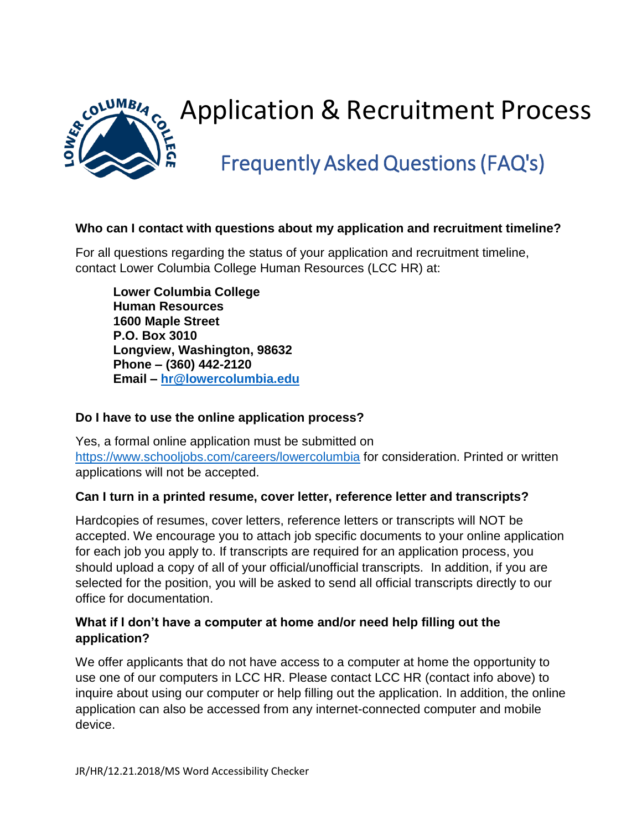

# Application & Recruitment Process

# Frequently Asked Questions (FAQ's)

#### **Who can I contact with questions about my application and recruitment timeline?**

For all questions regarding the status of your application and recruitment timeline, contact Lower Columbia College Human Resources (LCC HR) at:

**Lower Columbia College Human Resources 1600 Maple Street P.O. Box 3010 Longview, Washington, 98632 Phone – (360) 442-2120 Email – [hr@lowercolumbia.edu](mailto:hr@lowercolumbia.edu)**

#### **Do I have to use the online application process?**

Yes, a formal online application must be submitted on <https://www.schooljobs.com/careers/lowercolumbia> for consideration. Printed or written applications will not be accepted.

#### **Can I turn in a printed resume, cover letter, reference letter and transcripts?**

Hardcopies of resumes, cover letters, reference letters or transcripts will NOT be accepted. We encourage you to attach job specific documents to your online application for each job you apply to. If transcripts are required for an application process, you should upload a copy of all of your official/unofficial transcripts. In addition, if you are selected for the position, you will be asked to send all official transcripts directly to our office for documentation.

#### **What if I don't have a computer at home and/or need help filling out the application?**

We offer applicants that do not have access to a computer at home the opportunity to use one of our computers in LCC HR. Please contact LCC HR (contact info above) to inquire about using our computer or help filling out the application. In addition, the online application can also be accessed from any internet-connected computer and mobile device.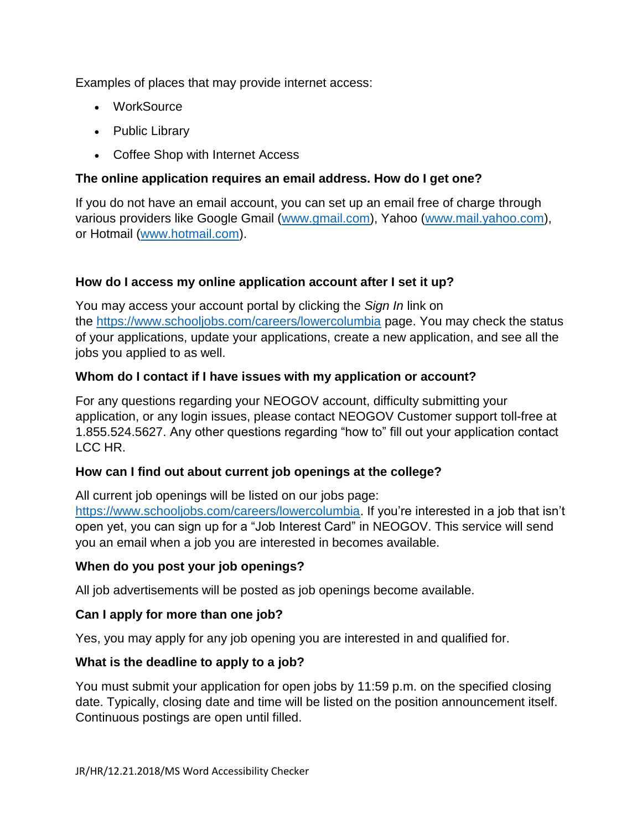Examples of places that may provide internet access:

- WorkSource
- Public Library
- Coffee Shop with Internet Access

# **The online application requires an email address. How do I get one?**

If you do not have an email account, you can set up an email free of charge through various providers like Google Gmail [\(www.gmail.com\)](http://www.gmail.com/), Yahoo [\(www.mail.yahoo.com\)](http://www.mail.yahoo.com/), or Hotmail [\(www.hotmail.com\)](http://www.hotmail.com/).

# **How do I access my online application account after I set it up?**

You may access your account portal by clicking the *Sign In* link on the <https://www.schooljobs.com/careers/lowercolumbia> page. You may check the status of your applications, update your applications, create a new application, and see all the jobs you applied to as well.

# **Whom do I contact if I have issues with my application or account?**

For any questions regarding your NEOGOV account, difficulty submitting your application, or any login issues, please contact NEOGOV Customer support toll-free at 1.855.524.5627. Any other questions regarding "how to" fill out your application contact LCC HR.

#### **How can I find out about current job openings at the college?**

All current job openings will be listed on our jobs page:

[https://www.schooljobs.com/careers/lowercolumbia.](https://www.schooljobs.com/careers/lowercolumbia) If you're interested in a job that isn't open yet, you can sign up for a "Job Interest Card" in NEOGOV. This service will send you an email when a job you are interested in becomes available.

#### **When do you post your job openings?**

All job advertisements will be posted as job openings become available.

# **Can I apply for more than one job?**

Yes, you may apply for any job opening you are interested in and qualified for.

#### **What is the deadline to apply to a job?**

You must submit your application for open jobs by 11:59 p.m. on the specified closing date. Typically, closing date and time will be listed on the position announcement itself. Continuous postings are open until filled.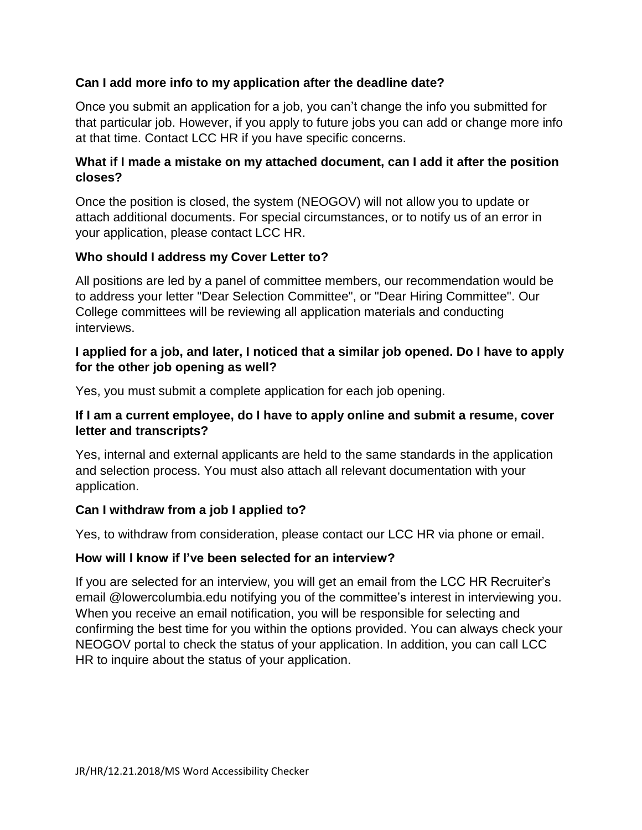#### **Can I add more info to my application after the deadline date?**

Once you submit an application for a job, you can't change the info you submitted for that particular job. However, if you apply to future jobs you can add or change more info at that time. Contact LCC HR if you have specific concerns.

#### **What if I made a mistake on my attached document, can I add it after the position closes?**

Once the position is closed, the system (NEOGOV) will not allow you to update or attach additional documents. For special circumstances, or to notify us of an error in your application, please contact LCC HR.

#### **Who should I address my Cover Letter to?**

All positions are led by a panel of committee members, our recommendation would be to address your letter "Dear Selection Committee", or "Dear Hiring Committee". Our College committees will be reviewing all application materials and conducting interviews.

#### **I applied for a job, and later, I noticed that a similar job opened. Do I have to apply for the other job opening as well?**

Yes, you must submit a complete application for each job opening.

#### **If I am a current employee, do I have to apply online and submit a resume, cover letter and transcripts?**

Yes, internal and external applicants are held to the same standards in the application and selection process. You must also attach all relevant documentation with your application.

#### **Can I withdraw from a job I applied to?**

Yes, to withdraw from consideration, please contact our LCC HR via phone or email.

#### **How will I know if I've been selected for an interview?**

If you are selected for an interview, you will get an email from the LCC HR Recruiter's email @lowercolumbia.edu notifying you of the committee's interest in interviewing you. When you receive an email notification, you will be responsible for selecting and confirming the best time for you within the options provided. You can always check your NEOGOV portal to check the status of your application. In addition, you can call LCC HR to inquire about the status of your application.